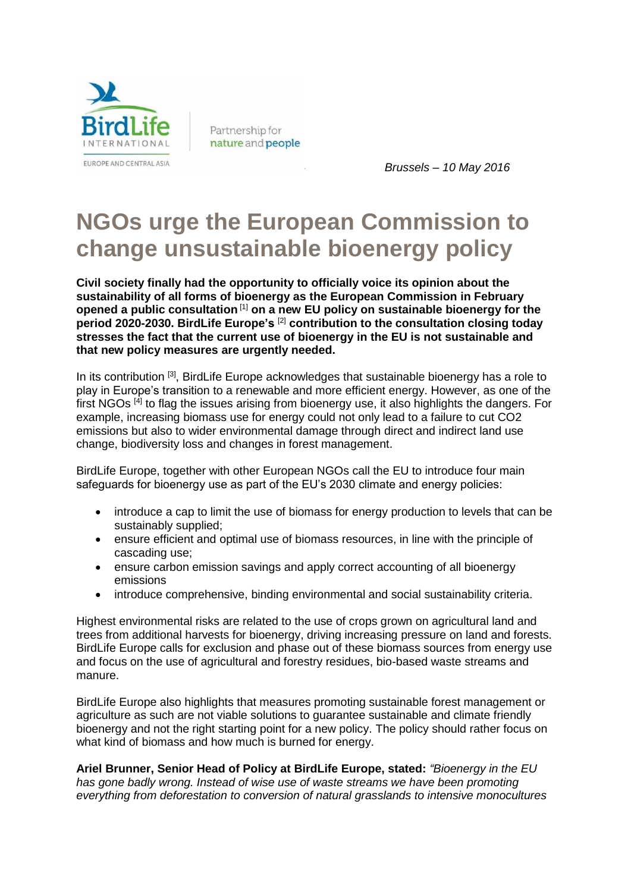

Partnership for nature and people

*` Brussels – 10 May 2016*

## **NGOs urge the European Commission to change unsustainable bioenergy policy**

**Civil society finally had the opportunity to officially voice its opinion about the sustainability of all forms of bioenergy as the European Commission in February opened a public consultation** [1] **on a new EU policy on sustainable bioenergy for the period 2020-2030. BirdLife Europe's** [2] **contribution to the consultation closing today stresses the fact that the current use of bioenergy in the EU is not sustainable and that new policy measures are urgently needed.**

In its contribution <sup>[3]</sup>, BirdLife Europe acknowledges that sustainable bioenergy has a role to play in Europe's transition to a renewable and more efficient energy. However, as one of the first NGOs<sup>[4]</sup> to flag the issues arising from bioenergy use, it also highlights the dangers. For example, increasing biomass use for energy could not only lead to a failure to cut CO2 emissions but also to wider environmental damage through direct and indirect land use change, biodiversity loss and changes in forest management.

BirdLife Europe, together with other European NGOs call the EU to introduce four main safeguards for bioenergy use as part of the EU's 2030 climate and energy policies:

- introduce a cap to limit the use of biomass for energy production to levels that can be sustainably supplied;
- ensure efficient and optimal use of biomass resources, in line with the principle of cascading use;
- ensure carbon emission savings and apply correct accounting of all bioenergy emissions
- introduce comprehensive, binding environmental and social sustainability criteria.

Highest environmental risks are related to the use of crops grown on agricultural land and trees from additional harvests for bioenergy, driving increasing pressure on land and forests. BirdLife Europe calls for exclusion and phase out of these biomass sources from energy use and focus on the use of agricultural and forestry residues, bio-based waste streams and manure.

BirdLife Europe also highlights that measures promoting sustainable forest management or agriculture as such are not viable solutions to guarantee sustainable and climate friendly bioenergy and not the right starting point for a new policy. The policy should rather focus on what kind of biomass and how much is burned for energy.

**Ariel Brunner, Senior Head of Policy at BirdLife Europe, stated:** *"Bioenergy in the EU has gone badly wrong. Instead of wise use of waste streams we have been promoting everything from deforestation to conversion of natural grasslands to intensive monocultures*